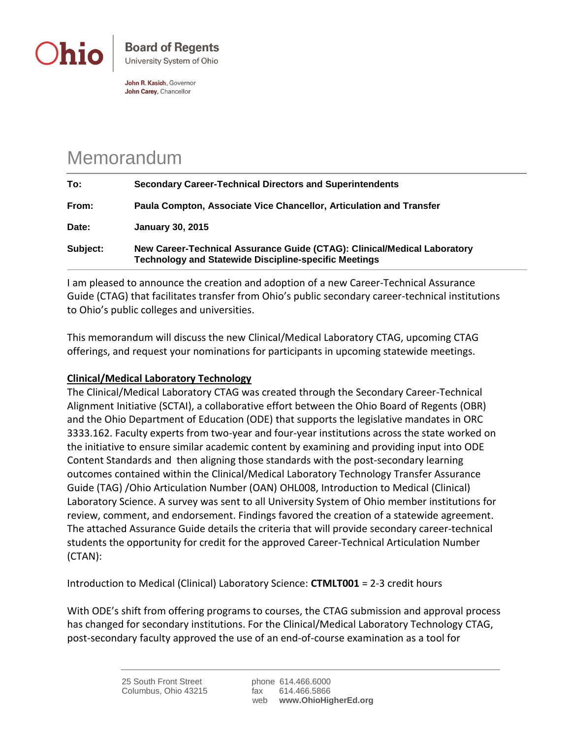

John R. Kasich, Governor John Carey, Chancellor

## Memorandum

| To:      | <b>Secondary Career-Technical Directors and Superintendents</b>                                                                          |
|----------|------------------------------------------------------------------------------------------------------------------------------------------|
| From:    | Paula Compton, Associate Vice Chancellor, Articulation and Transfer                                                                      |
| Date:    | <b>January 30, 2015</b>                                                                                                                  |
| Subject: | New Career-Technical Assurance Guide (CTAG): Clinical/Medical Laboratory<br><b>Technology and Statewide Discipline-specific Meetings</b> |

I am pleased to announce the creation and adoption of a new Career-Technical Assurance Guide (CTAG) that facilitates transfer from Ohio's public secondary career-technical institutions to Ohio's public colleges and universities.

This memorandum will discuss the new Clinical/Medical Laboratory CTAG, upcoming CTAG offerings, and request your nominations for participants in upcoming statewide meetings.

## **Clinical/Medical Laboratory Technology**

The Clinical/Medical Laboratory CTAG was created through the Secondary Career-Technical Alignment Initiative (SCTAI), a collaborative effort between the Ohio Board of Regents (OBR) and the Ohio Department of Education (ODE) that supports the legislative mandates in ORC 3333.162. Faculty experts from two-year and four-year institutions across the state worked on the initiative to ensure similar academic content by examining and providing input into ODE Content Standards and then aligning those standards with the post-secondary learning outcomes contained within the Clinical/Medical Laboratory Technology Transfer Assurance Guide (TAG) /Ohio Articulation Number (OAN) OHL008, Introduction to Medical (Clinical) Laboratory Science. A survey was sent to all University System of Ohio member institutions for review, comment, and endorsement. Findings favored the creation of a statewide agreement. The attached Assurance Guide details the criteria that will provide secondary career-technical students the opportunity for credit for the approved Career-Technical Articulation Number (CTAN):

Introduction to Medical (Clinical) Laboratory Science: **CTMLT001** = 2-3 credit hours

With ODE's shift from offering programs to courses, the CTAG submission and approval process has changed for secondary institutions. For the Clinical/Medical Laboratory Technology CTAG, post-secondary faculty approved the use of an end-of-course examination as a tool for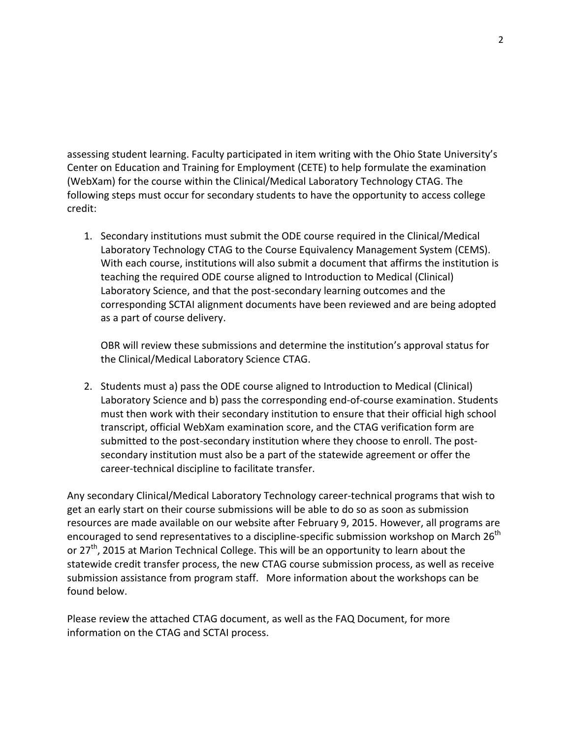assessing student learning. Faculty participated in item writing with the Ohio State University's Center on Education and Training for Employment (CETE) to help formulate the examination (WebXam) for the course within the Clinical/Medical Laboratory Technology CTAG. The following steps must occur for secondary students to have the opportunity to access college credit:

1. Secondary institutions must submit the ODE course required in the Clinical/Medical Laboratory Technology CTAG to the Course Equivalency Management System (CEMS). With each course, institutions will also submit a document that affirms the institution is teaching the required ODE course aligned to Introduction to Medical (Clinical) Laboratory Science, and that the post-secondary learning outcomes and the corresponding SCTAI alignment documents have been reviewed and are being adopted as a part of course delivery.

OBR will review these submissions and determine the institution's approval status for the Clinical/Medical Laboratory Science CTAG.

2. Students must a) pass the ODE course aligned to Introduction to Medical (Clinical) Laboratory Science and b) pass the corresponding end-of-course examination. Students must then work with their secondary institution to ensure that their official high school transcript, official WebXam examination score, and the CTAG verification form are submitted to the post-secondary institution where they choose to enroll. The postsecondary institution must also be a part of the statewide agreement or offer the career-technical discipline to facilitate transfer.

Any secondary Clinical/Medical Laboratory Technology career-technical programs that wish to get an early start on their course submissions will be able to do so as soon as submission resources are made available on our website after February 9, 2015. However, all programs are encouraged to send representatives to a discipline-specific submission workshop on March 26<sup>th</sup> or 27<sup>th</sup>, 2015 at Marion Technical College. This will be an opportunity to learn about the statewide credit transfer process, the new CTAG course submission process, as well as receive submission assistance from program staff. More information about the workshops can be found below.

Please review the attached CTAG document, as well as the FAQ Document, for more information on the CTAG and SCTAI process.